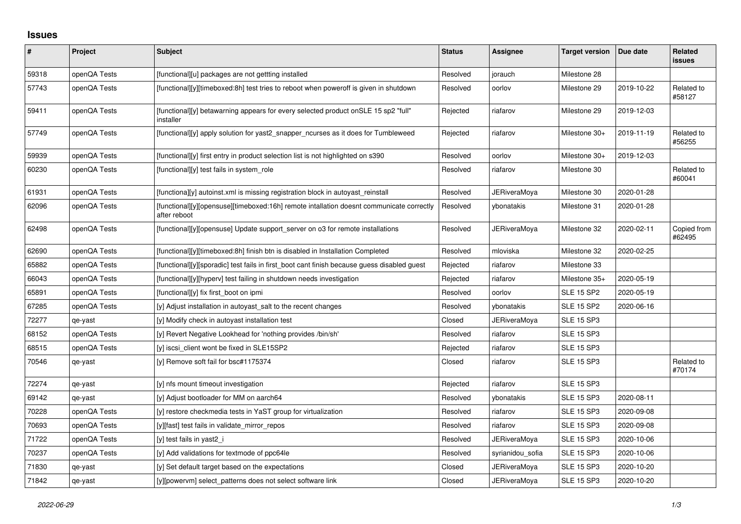## **Issues**

| #     | Project      | <b>Subject</b>                                                                                           | <b>Status</b> | Assignee            | <b>Target version</b> | Due date   | Related<br><b>issues</b> |
|-------|--------------|----------------------------------------------------------------------------------------------------------|---------------|---------------------|-----------------------|------------|--------------------------|
| 59318 | openQA Tests | [functional][u] packages are not gettting installed                                                      | Resolved      | jorauch             | Milestone 28          |            |                          |
| 57743 | openQA Tests | [functional][y][timeboxed:8h] test tries to reboot when poweroff is given in shutdown                    | Resolved      | oorlov              | Milestone 29          | 2019-10-22 | Related to<br>#58127     |
| 59411 | openQA Tests | [functional][y] betawarning appears for every selected product onSLE 15 sp2 "full"<br>installer          | Rejected      | riafarov            | Milestone 29          | 2019-12-03 |                          |
| 57749 | openQA Tests | [functional][y] apply solution for yast2_snapper_ncurses as it does for Tumbleweed                       | Rejected      | riafarov            | Milestone 30+         | 2019-11-19 | Related to<br>#56255     |
| 59939 | openQA Tests | [functional][y] first entry in product selection list is not highlighted on s390                         | Resolved      | oorlov              | Milestone 30+         | 2019-12-03 |                          |
| 60230 | openQA Tests | [functional][y] test fails in system role                                                                | Resolved      | riafarov            | Milestone 30          |            | Related to<br>#60041     |
| 61931 | openQA Tests | [functiona][y] autoinst.xml is missing registration block in autoyast reinstall                          | Resolved      | JERiveraMoya        | Milestone 30          | 2020-01-28 |                          |
| 62096 | openQA Tests | [functional][y][opensuse][timeboxed:16h] remote intallation doesnt communicate correctly<br>after reboot | Resolved      | ybonatakis          | Milestone 31          | 2020-01-28 |                          |
| 62498 | openQA Tests | [functional][y][opensuse] Update support_server on o3 for remote installations                           | Resolved      | JERiveraMoya        | Milestone 32          | 2020-02-11 | Copied from<br>#62495    |
| 62690 | openQA Tests | [functional][y][timeboxed:8h] finish btn is disabled in Installation Completed                           | Resolved      | mloviska            | Milestone 32          | 2020-02-25 |                          |
| 65882 | openQA Tests | [functional][y][sporadic] test fails in first boot cant finish because guess disabled guest              | Rejected      | riafarov            | Milestone 33          |            |                          |
| 66043 | openQA Tests | [functional][y][hyperv] test failing in shutdown needs investigation                                     | Rejected      | riafarov            | Milestone 35+         | 2020-05-19 |                          |
| 65891 | openQA Tests | [functional][y] fix first_boot on ipmi                                                                   | Resolved      | oorlov              | <b>SLE 15 SP2</b>     | 2020-05-19 |                          |
| 67285 | openQA Tests | [y] Adjust installation in autoyast salt to the recent changes                                           | Resolved      | ybonatakis          | <b>SLE 15 SP2</b>     | 2020-06-16 |                          |
| 72277 | qe-yast      | [y] Modify check in autoyast installation test                                                           | Closed        | <b>JERiveraMoya</b> | <b>SLE 15 SP3</b>     |            |                          |
| 68152 | openQA Tests | [y] Revert Negative Lookhead for 'nothing provides /bin/sh'                                              | Resolved      | riafarov            | <b>SLE 15 SP3</b>     |            |                          |
| 68515 | openQA Tests | [y] iscsi client wont be fixed in SLE15SP2                                                               | Rejected      | riafarov            | <b>SLE 15 SP3</b>     |            |                          |
| 70546 | qe-yast      | [y] Remove soft fail for bsc#1175374                                                                     | Closed        | riafarov            | <b>SLE 15 SP3</b>     |            | Related to<br>#70174     |
| 72274 | qe-yast      | [y] nfs mount timeout investigation                                                                      | Rejected      | riafarov            | <b>SLE 15 SP3</b>     |            |                          |
| 69142 | qe-yast      | [y] Adjust bootloader for MM on aarch64                                                                  | Resolved      | vbonatakis          | <b>SLE 15 SP3</b>     | 2020-08-11 |                          |
| 70228 | openQA Tests | [y] restore checkmedia tests in YaST group for virtualization                                            | Resolved      | riafarov            | <b>SLE 15 SP3</b>     | 2020-09-08 |                          |
| 70693 | openQA Tests | [y][fast] test fails in validate_mirror_repos                                                            | Resolved      | riafarov            | <b>SLE 15 SP3</b>     | 2020-09-08 |                          |
| 71722 | openQA Tests | [y] test fails in yast2 i                                                                                | Resolved      | JERiveraMoya        | <b>SLE 15 SP3</b>     | 2020-10-06 |                          |
| 70237 | openQA Tests | [y] Add validations for textmode of ppc64le                                                              | Resolved      | syrianidou sofia    | <b>SLE 15 SP3</b>     | 2020-10-06 |                          |
| 71830 | qe-yast      | [y] Set default target based on the expectations                                                         | Closed        | JERiveraMoya        | <b>SLE 15 SP3</b>     | 2020-10-20 |                          |
| 71842 | qe-yast      | [y][powervm] select_patterns does not select software link                                               | Closed        | <b>JERiveraMova</b> | <b>SLE 15 SP3</b>     | 2020-10-20 |                          |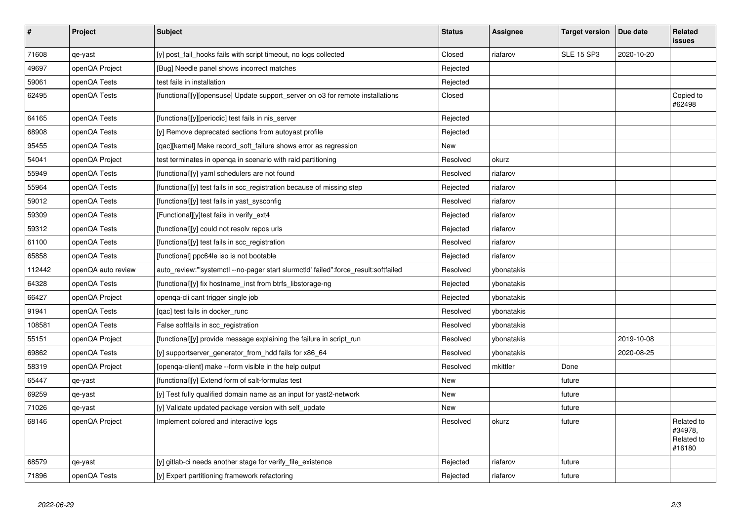| $\pmb{\#}$ | Project            | <b>Subject</b>                                                                     | <b>Status</b> | Assignee   | <b>Target version</b> | Due date   | Related<br>issues                             |
|------------|--------------------|------------------------------------------------------------------------------------|---------------|------------|-----------------------|------------|-----------------------------------------------|
| 71608      | qe-yast            | [y] post fail hooks fails with script timeout, no logs collected                   | Closed        | riafarov   | <b>SLE 15 SP3</b>     | 2020-10-20 |                                               |
| 49697      | openQA Project     | [Bug] Needle panel shows incorrect matches                                         | Rejected      |            |                       |            |                                               |
| 59061      | openQA Tests       | test fails in installation                                                         | Rejected      |            |                       |            |                                               |
| 62495      | openQA Tests       | [functional][y][opensuse] Update support server on o3 for remote installations     | Closed        |            |                       |            | Copied to<br>#62498                           |
| 64165      | openQA Tests       | [functional][y][periodic] test fails in nis_server                                 | Rejected      |            |                       |            |                                               |
| 68908      | openQA Tests       | [y] Remove deprecated sections from autoyast profile                               | Rejected      |            |                       |            |                                               |
| 95455      | openQA Tests       | [qac][kernel] Make record_soft_failure shows error as regression                   | New           |            |                       |            |                                               |
| 54041      | openQA Project     | test terminates in openga in scenario with raid partitioning                       | Resolved      | okurz      |                       |            |                                               |
| 55949      | openQA Tests       | [functional][y] yaml schedulers are not found                                      | Resolved      | riafarov   |                       |            |                                               |
| 55964      | openQA Tests       | [functional][y] test fails in scc registration because of missing step             | Rejected      | riafarov   |                       |            |                                               |
| 59012      | openQA Tests       | [functional][y] test fails in yast_sysconfig                                       | Resolved      | riafarov   |                       |            |                                               |
| 59309      | openQA Tests       | [Functional][y]test fails in verify_ext4                                           | Rejected      | riafarov   |                       |            |                                               |
| 59312      | openQA Tests       | [functional][y] could not resolv repos urls                                        | Rejected      | riafarov   |                       |            |                                               |
| 61100      | openQA Tests       | [functional][y] test fails in scc_registration                                     | Resolved      | riafarov   |                       |            |                                               |
| 65858      | openQA Tests       | [functional] ppc64le iso is not bootable                                           | Rejected      | riafarov   |                       |            |                                               |
| 112442     | openQA auto review | auto review:"'systemctl--no-pager start slurmctld' failed":force result:softfailed | Resolved      | ybonatakis |                       |            |                                               |
| 64328      | openQA Tests       | [functional][y] fix hostname_inst from btrfs_libstorage-ng                         | Rejected      | ybonatakis |                       |            |                                               |
| 66427      | openQA Project     | openga-cli cant trigger single job                                                 | Rejected      | ybonatakis |                       |            |                                               |
| 91941      | openQA Tests       | [qac] test fails in docker_runc                                                    | Resolved      | ybonatakis |                       |            |                                               |
| 108581     | openQA Tests       | False softfails in scc_registration                                                | Resolved      | vbonatakis |                       |            |                                               |
| 55151      | openQA Project     | [functional][y] provide message explaining the failure in script_run               | Resolved      | ybonatakis |                       | 2019-10-08 |                                               |
| 69862      | openQA Tests       | [y] supportserver_generator_from_hdd fails for x86_64                              | Resolved      | ybonatakis |                       | 2020-08-25 |                                               |
| 58319      | openQA Project     | [openga-client] make --form visible in the help output                             | Resolved      | mkittler   | Done                  |            |                                               |
| 65447      | qe-yast            | [functional][y] Extend form of salt-formulas test                                  | <b>New</b>    |            | future                |            |                                               |
| 69259      | qe-yast            | [y] Test fully qualified domain name as an input for yast2-network                 | <b>New</b>    |            | future                |            |                                               |
| 71026      | qe-yast            | [y] Validate updated package version with self_update                              | <b>New</b>    |            | future                |            |                                               |
| 68146      | openQA Project     | Implement colored and interactive logs                                             | Resolved      | okurz      | future                |            | Related to<br>#34978,<br>Related to<br>#16180 |
| 68579      | qe-yast            | [y] gitlab-ci needs another stage for verify file existence                        | Rejected      | riafarov   | future                |            |                                               |
| 71896      | openQA Tests       | [y] Expert partitioning framework refactoring                                      | Rejected      | riafarov   | future                |            |                                               |